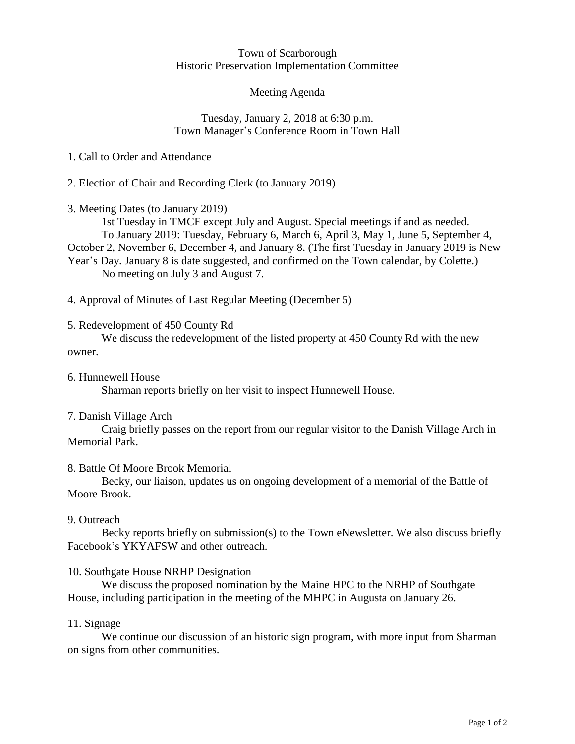#### Town of Scarborough Historic Preservation Implementation Committee

## Meeting Agenda

## Tuesday, January 2, 2018 at 6:30 p.m. Town Manager's Conference Room in Town Hall

## 1. Call to Order and Attendance

2. Election of Chair and Recording Clerk (to January 2019)

3. Meeting Dates (to January 2019)

1st Tuesday in TMCF except July and August. Special meetings if and as needed. To January 2019: Tuesday, February 6, March 6, April 3, May 1, June 5, September 4, October 2, November 6, December 4, and January 8. (The first Tuesday in January 2019 is New Year's Day. January 8 is date suggested, and confirmed on the Town calendar, by Colette.) No meeting on July 3 and August 7.

4. Approval of Minutes of Last Regular Meeting (December 5)

## 5. Redevelopment of 450 County Rd

We discuss the redevelopment of the listed property at 450 County Rd with the new owner.

- 6. Hunnewell House Sharman reports briefly on her visit to inspect Hunnewell House.
- 7. Danish Village Arch

Craig briefly passes on the report from our regular visitor to the Danish Village Arch in Memorial Park.

### 8. Battle Of Moore Brook Memorial

Becky, our liaison, updates us on ongoing development of a memorial of the Battle of Moore Brook.

### 9. Outreach

Becky reports briefly on submission(s) to the Town eNewsletter. We also discuss briefly Facebook's YKYAFSW and other outreach.

## 10. Southgate House NRHP Designation

We discuss the proposed nomination by the Maine HPC to the NRHP of Southgate House, including participation in the meeting of the MHPC in Augusta on January 26.

### 11. Signage

We continue our discussion of an historic sign program, with more input from Sharman on signs from other communities.